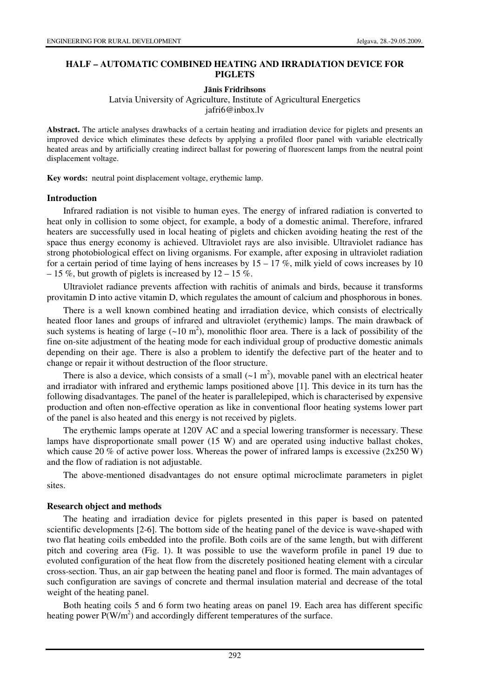### **HALF – AUTOMATIC COMBINED HEATING AND IRRADIATION DEVICE FOR PIGLETS**

#### **J**ā**nis Fridrihsons**

Latvia University of Agriculture, Institute of Agricultural Energetics jafri6@inbox.lv

**Abstract.** The article analyses drawbacks of a certain heating and irradiation device for piglets and presents an improved device which eliminates these defects by applying a profiled floor panel with variable electrically heated areas and by artificially creating indirect ballast for powering of fluorescent lamps from the neutral point displacement voltage.

**Key words:** neutral point displacement voltage, erythemic lamp.

### **Introduction**

Infrared radiation is not visible to human eyes. The energy of infrared radiation is converted to heat only in collision to some object, for example, a body of a domestic animal. Therefore, infrared heaters are successfully used in local heating of piglets and chicken avoiding heating the rest of the space thus energy economy is achieved. Ultraviolet rays are also invisible. Ultraviolet radiance has strong photobiological effect on living organisms. For example, after exposing in ultraviolet radiation for a certain period of time laying of hens increases by  $15 - 17$  %, milk yield of cows increases by 10 – 15 %, but growth of piglets is increased by  $12 - 15$  %.

Ultraviolet radiance prevents affection with rachitis of animals and birds, because it transforms provitamin D into active vitamin D, which regulates the amount of calcium and phosphorous in bones.

There is a well known combined heating and irradiation device, which consists of electrically heated floor lanes and groups of infrared and ultraviolet (erythemic) lamps. The main drawback of such systems is heating of large  $({\sim}10 \text{ m}^2)$ , monolithic floor area. There is a lack of possibility of the fine on-site adjustment of the heating mode for each individual group of productive domestic animals depending on their age. There is also a problem to identify the defective part of the heater and to change or repair it without destruction of the floor structure.

There is also a device, which consists of a small  $({\sim}1 \text{ m}^2)$ , movable panel with an electrical heater and irradiator with infrared and erythemic lamps positioned above [1]. This device in its turn has the following disadvantages. The panel of the heater is parallelepiped, which is characterised by expensive production and often non-effective operation as like in conventional floor heating systems lower part of the panel is also heated and this energy is not received by piglets.

The erythemic lamps operate at 120V AC and a special lowering transformer is necessary. These lamps have disproportionate small power (15 W) and are operated using inductive ballast chokes, which cause 20 % of active power loss. Whereas the power of infrared lamps is excessive ( $2x250$  W) and the flow of radiation is not adjustable.

The above-mentioned disadvantages do not ensure optimal microclimate parameters in piglet sites.

### **Research object and methods**

The heating and irradiation device for piglets presented in this paper is based on patented scientific developments [2-6]. The bottom side of the heating panel of the device is wave-shaped with two flat heating coils embedded into the profile. Both coils are of the same length, but with different pitch and covering area (Fig. 1). It was possible to use the waveform profile in panel 19 due to evoluted configuration of the heat flow from the discretely positioned heating element with a circular cross-section. Thus, an air gap between the heating panel and floor is formed. The main advantages of such configuration are savings of concrete and thermal insulation material and decrease of the total weight of the heating panel.

Both heating coils 5 and 6 form two heating areas on panel 19. Each area has different specific heating power  $P(W/m^2)$  and accordingly different temperatures of the surface.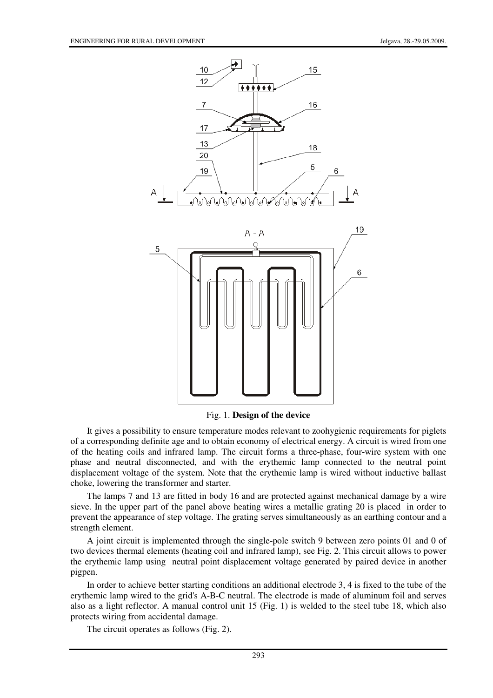

Fig. 1. **Design of the device**

It gives a possibility to ensure temperature modes relevant to zoohygienic requirements for piglets of a corresponding definite age and to obtain economy of electrical energy. A circuit is wired from one of the heating coils and infrared lamp. The circuit forms a three-phase, four-wire system with one phase and neutral disconnected, and with the erythemic lamp connected to the neutral point displacement voltage of the system. Note that the erythemic lamp is wired without inductive ballast choke, lowering the transformer and starter.

The lamps 7 and 13 are fitted in body 16 and are protected against mechanical damage by a wire sieve. In the upper part of the panel above heating wires a metallic grating 20 is placed in order to prevent the appearance of step voltage. The grating serves simultaneously as an earthing contour and a strength element.

A joint circuit is implemented through the single-pole switch 9 between zero points 01 and 0 of two devices thermal elements (heating coil and infrared lamp), see Fig. 2. This circuit allows to power the erythemic lamp using neutral point displacement voltage generated by paired device in another pigpen.

In order to achieve better starting conditions an additional electrode 3, 4 is fixed to the tube of the erythemic lamp wired to the grid's A-B-C neutral. The electrode is made of aluminum foil and serves also as a light reflector. A manual control unit 15 (Fig. 1) is welded to the steel tube 18, which also protects wiring from accidental damage.

The circuit operates as follows (Fig. 2).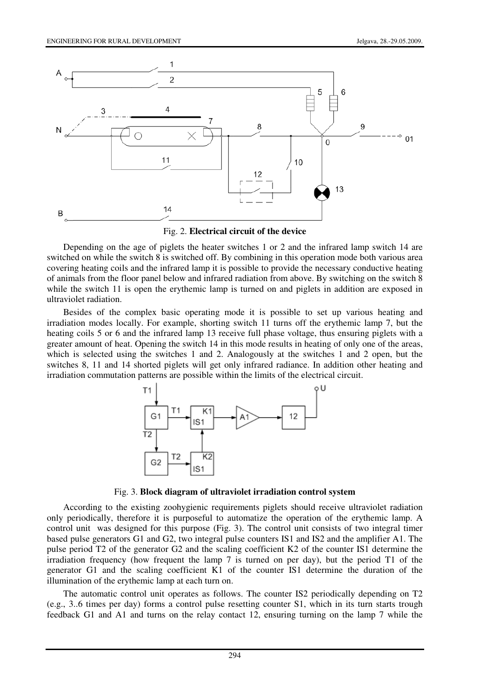

Fig. 2. **Electrical circuit of the device**

Depending on the age of piglets the heater switches 1 or 2 and the infrared lamp switch 14 are switched on while the switch 8 is switched off. By combining in this operation mode both various area covering heating coils and the infrared lamp it is possible to provide the necessary conductive heating of animals from the floor panel below and infrared radiation from above. By switching on the switch 8 while the switch 11 is open the erythemic lamp is turned on and piglets in addition are exposed in ultraviolet radiation.

Besides of the complex basic operating mode it is possible to set up various heating and irradiation modes locally. For example, shorting switch 11 turns off the erythemic lamp 7, but the heating coils 5 or 6 and the infrared lamp 13 receive full phase voltage, thus ensuring piglets with a greater amount of heat. Opening the switch 14 in this mode results in heating of only one of the areas, which is selected using the switches 1 and 2. Analogously at the switches 1 and 2 open, but the switches 8, 11 and 14 shorted piglets will get only infrared radiance. In addition other heating and irradiation commutation patterns are possible within the limits of the electrical circuit.



Fig. 3. **Block diagram of ultraviolet irradiation control system**

According to the existing zoohygienic requirements piglets should receive ultraviolet radiation only periodically, therefore it is purposeful to automatize the operation of the erythemic lamp. A control unit was designed for this purpose (Fig. 3). The control unit consists of two integral timer based pulse generators G1 and G2, two integral pulse counters IS1 and IS2 and the amplifier A1. The pulse period T2 of the generator G2 and the scaling coefficient K2 of the counter IS1 determine the irradiation frequency (how frequent the lamp 7 is turned on per day), but the period T1 of the generator G1 and the scaling coefficient K1 of the counter IS1 determine the duration of the illumination of the erythemic lamp at each turn on.

The automatic control unit operates as follows. The counter IS2 periodically depending on T2 (e.g., 3..6 times per day) forms a control pulse resetting counter S1, which in its turn starts trough feedback G1 and A1 and turns on the relay contact 12, ensuring turning on the lamp 7 while the